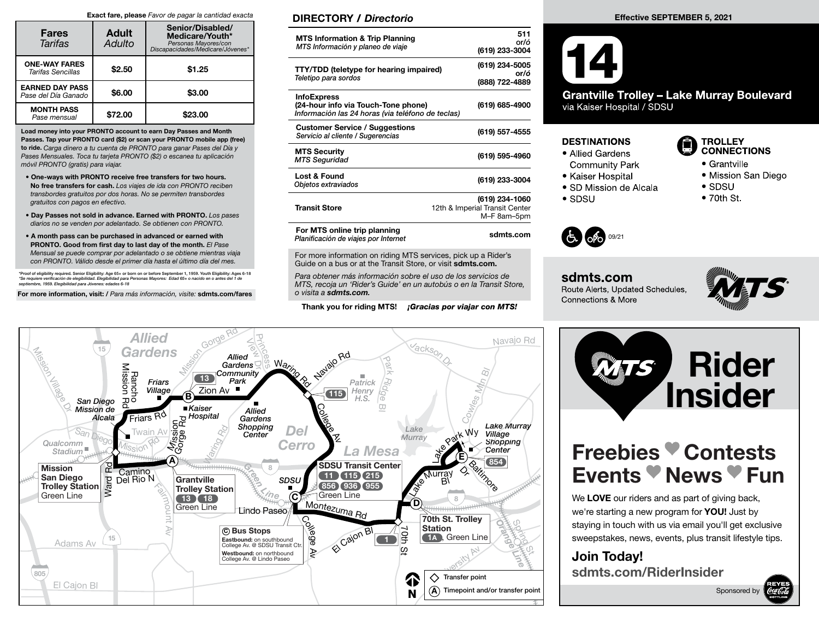#### Exact fare, please Favor de pagar la cantidad exacta

| <b>Fares</b><br>Tarifas                         | <b>Adult</b><br>Adulto | Senior/Disabled/<br>Medicare/Youth*<br>Personas Mayores/con<br>Discapacidades/Medicare/Jóvenes* |  |  |
|-------------------------------------------------|------------------------|-------------------------------------------------------------------------------------------------|--|--|
| <b>ONE-WAY FARES</b><br>Tarifas Sencillas       | \$2.50                 | \$1.25                                                                                          |  |  |
| <b>EARNED DAY PASS</b><br>l Pase del Día Ganado | \$6.00                 | \$3.00                                                                                          |  |  |
| <b>MONTH PASS</b><br>Pase mensual               | \$72.00                | \$23.00                                                                                         |  |  |

Load money into your PRONTO account to earn Day Passes and Month Passes. Tap your PRONTO card (\$2) or scan your PRONTO mobile app (free) to ride. Carga dinero a tu cuenta de PRONTO para ganar Pases del Día y Pases Mensuales. Toca tu tarjeta PRONTO (\$2) o escanea tu aplicación móvil PRONTO (gratis) para viajar.

- One-ways with PRONTO receive free transfers for two hours. No free transfers for cash. Los viajes de ida con PRONTO reciben transbordes gratuitos por dos horas. No se permiten transbordes gratuitos con pagos en efectivo.
- Day Passes not sold in advance. Earned with PRONTO. Los pases diarios no se venden por adelantado. Se obtienen con PRONTO.
- A month pass can be purchased in advanced or earned with PRONTO. Good from first day to last day of the month. El Pase Mensual se puede comprar por adelantado o se obtiene mientras viaja con PRONTO. Válido desde el primer día hasta el último día del mes.

\*Proof of eligibility required. Senior Eligibility: Age 65+ or born on or before September 1, 1959. Youth Eligibility: Ages 6-18 \*Se requiere verificación de elegibilidad. Elegibilidad para Personas Mayores: Edad 65+ o nacido en o antes del 1 de<br>septiembre, 1959. Elegibilidad para Jóvenes: edades 6-18

For more information, visit: / Para más información, visite: sdmts.com/fares

Allied **Gardens** 

15

### DIRECTORY / Directorio

| <b>MTS Information &amp; Trip Planning</b><br>MTS Información y planeo de viaje                                | 511<br>or/ó<br>(619) 233-3004                                   |
|----------------------------------------------------------------------------------------------------------------|-----------------------------------------------------------------|
| <b>TTY/TDD</b> (teletype for hearing impaired)<br>Teletipo para sordos                                         | (619) 234-5005<br>or/ó<br>(888) 722-4889                        |
| <b>InfoExpress</b><br>(24-hour info via Touch-Tone phone)<br>Información las 24 horas (via teléfono de teclas) | (619) 685-4900                                                  |
| <b>Customer Service / Suggestions</b><br>Servicio al cliente / Sugerencias                                     | (619) 557-4555                                                  |
| <b>MTS Security</b><br><b>MTS Seguridad</b>                                                                    | (619) 595-4960                                                  |
| Lost & Found<br>Objetos extraviados                                                                            | (619) 233-3004                                                  |
| <b>Transit Store</b>                                                                                           | (619) 234-1060<br>12th & Imperial Transit Center<br>M-F 8am-5pm |
| For MTS online trip planning<br>Planificación de viajes por Internet                                           | sdmts.com                                                       |

For more information on riding MTS services, pick up a Rider's Guide on a bus or at the Transit Store, or visit sdmts.com.

Para obtener más información sobre el uso de los servicios de MTS, recoja un 'Rider's Guide' en un autobús o en la Transit Store, o visita a sdmts.com.

Thank you for riding MTS! **¡Gracias por viajar con MTS!** 





**Grantville Trolley - Lake Murray Boulevard** via Kaiser Hospital / SDSU

### **DESTINATIONS**

- Allied Gardens
- **Community Park** • Kaiser Hospital
- SD Mission de Alcala
- $\bullet$  SDSU



- Grantville
- Mission San Diego
- $\bullet$  SDSU
- $\bullet$  70th St.



### sdmts.com Route Alerts, Updated Schedules, **Connections & More**





We LOVE our riders and as part of giving back, we're starting a new program for **YOU!** Just by staying in touch with us via email you'll get exclusive sweepstakes, news, events, plus transit lifestyle tips.

Join Today! sdmts.com/RiderInsider



| 15                                                                                        | <b>Gardens</b><br>Mission<br>$13$<br>Friars                                             | <b>Allied</b><br><b>Maring</b><br>Gardens $\mathbb{Q}$<br>Community<br>Park<br>$\gamma_{\!\scriptscriptstyle \!\! \infty}^{\!\scriptscriptstyle \times}$ | Havajo Rd<br>ш<br>Patrick                            | acks <sub>o</sub>                                                                 |  |
|-------------------------------------------------------------------------------------------|-----------------------------------------------------------------------------------------|----------------------------------------------------------------------------------------------------------------------------------------------------------|------------------------------------------------------|-----------------------------------------------------------------------------------|--|
| <b>Tilledo</b><br>San Diego<br>Mission de<br>Alcala                                       | <b>Village</b><br>B)<br>■Kaiser<br>Friars R <sub>O</sub><br>Hospital                    | Zion Av <sup>1</sup><br><b>Allied</b><br>Gardens<br>Shopping                                                                                             | Henry<br>(115)<br>H.S.<br>$\sigma$                   | <b>Lake Murray</b>                                                                |  |
| $S_{a}$<br>$q_{\text{leg}_C}$<br>Qualcomm<br>Stadium <sup>"</sup><br>٦g<br><b>Mission</b> | Arission<br>Gorge Rd<br>Av<br>Twain<br><i>Ission</i><br>$\mathbf{A}$                    | Del<br>Center<br><b>Cerro</b>                                                                                                                            | 飞<br><b>La Mesa</b><br><b>SDSU Transit Center</b>    | Lake<br><b>Helphark Wv</b><br>Village<br>Murray<br>Shopping<br>Center<br>Έ<br>854 |  |
| San Diego<br>Ward<br><b>Trolley Station</b><br>Green Line                                 | Camino<br>Del Rio N<br>Grantville<br><b>Trolley Station</b><br>〔18〕<br>13<br>Green Line | SDSU<br>С                                                                                                                                                | $115$ (215)<br>$(936)$ $(955)$<br>856)<br>Green Line | Raitimore<br>Q,<br>Murray<br>BI.<br><b>de</b><br>8<br>D)                          |  |
| 15<br>Adams Av                                                                            |                                                                                         | Lindo Paseo,<br>epako<br>C Bus Stops<br>Eastbound: on southbound<br>College Av. @ SDSU Transit Ctr.<br>₹<br>Westbound: on northbound                     | Montezuma Rd<br>El Cajon BI<br>Qth<br>ă              | 70th St. Trolley<br><b>Station</b><br>┙<br>1A, Green Line<br>ര                    |  |
| 805<br>El Cajon Bl                                                                        |                                                                                         | College Av. @ Lindo Paseo                                                                                                                                |                                                      | Transfer point<br><mark>↑</mark><br>Timepoint and/or transfer point<br>(A<br>N    |  |
|                                                                                           |                                                                                         |                                                                                                                                                          |                                                      |                                                                                   |  |

View<br>View D

Miled Prince Rd Princes Street Rd Princes Separation Community